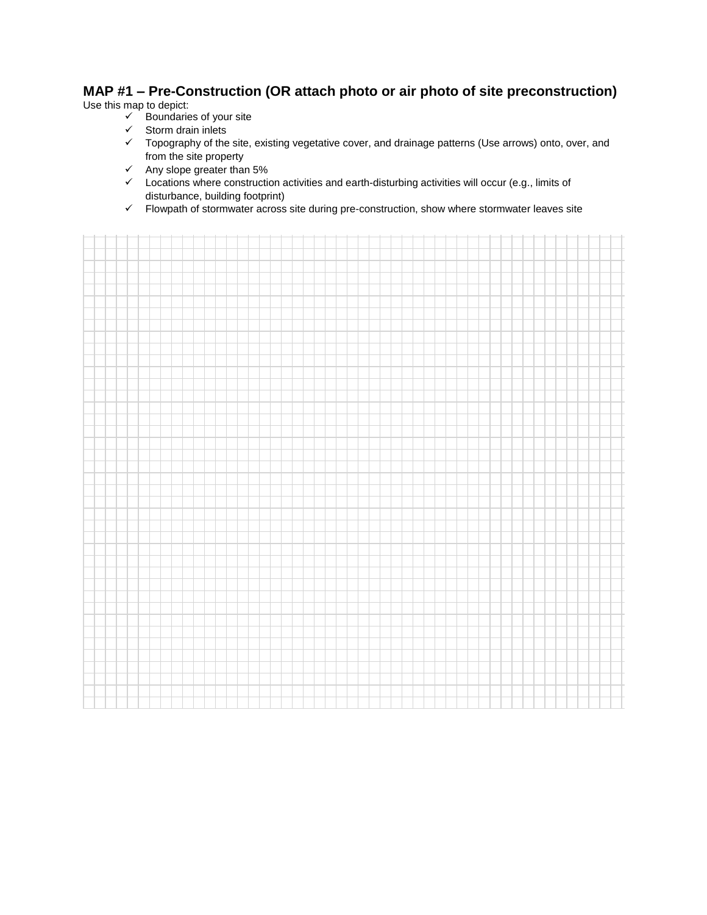## **MAP #1 – Pre-Construction (OR attach photo or air photo of site preconstruction)**

Use this map to depict:

- $\checkmark$  Boundaries of your site
- $\checkmark$  Storm drain inlets
- Topography of the site, existing vegetative cover, and drainage patterns (Use arrows) onto, over, and from the site property
- $\checkmark$  Any slope greater than 5%
- $\checkmark$  Locations where construction activities and earth-disturbing activities will occur (e.g., limits of disturbance, building footprint)
- $\checkmark$  Flowpath of stormwater across site during pre-construction, show where stormwater leaves site